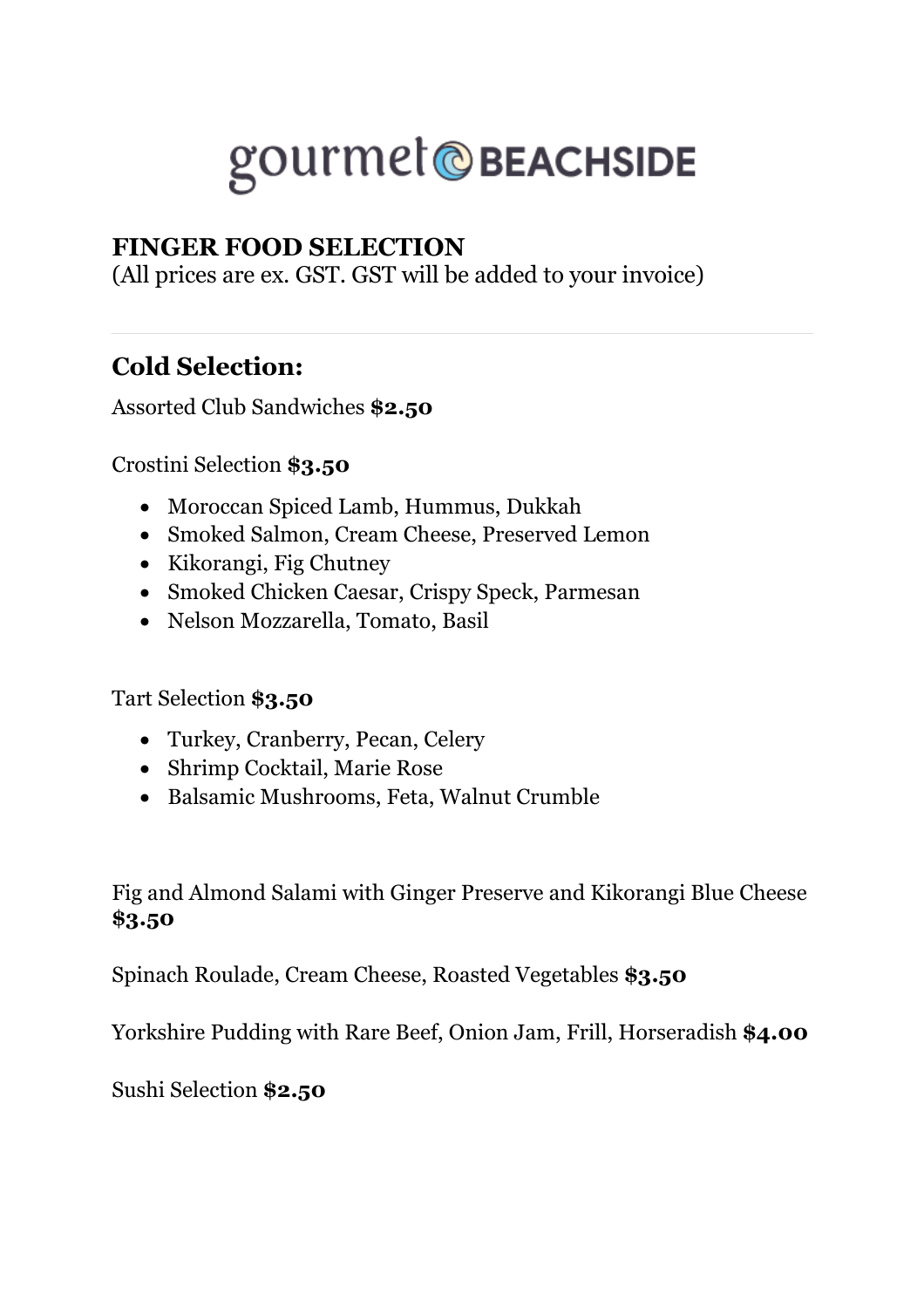# gourmet@BEACHSIDE

#### **FINGER FOOD SELECTION**

(All prices are ex. GST. GST will be added to your invoice)

### **Cold Selection:**

Assorted Club Sandwiches **\$2.50**

Crostini Selection **\$3.50**

- Moroccan Spiced Lamb, Hummus, Dukkah
- Smoked Salmon, Cream Cheese, Preserved Lemon
- Kikorangi, Fig Chutney
- Smoked Chicken Caesar, Crispy Speck, Parmesan
- Nelson Mozzarella, Tomato, Basil

Tart Selection **\$3.50**

- Turkey, Cranberry, Pecan, Celery
- Shrimp Cocktail, Marie Rose
- Balsamic Mushrooms, Feta, Walnut Crumble

Fig and Almond Salami with Ginger Preserve and Kikorangi Blue Cheese **\$3.50**

Spinach Roulade, Cream Cheese, Roasted Vegetables **\$3.50**

Yorkshire Pudding with Rare Beef, Onion Jam, Frill, Horseradish **\$4.00**

Sushi Selection **\$2.50**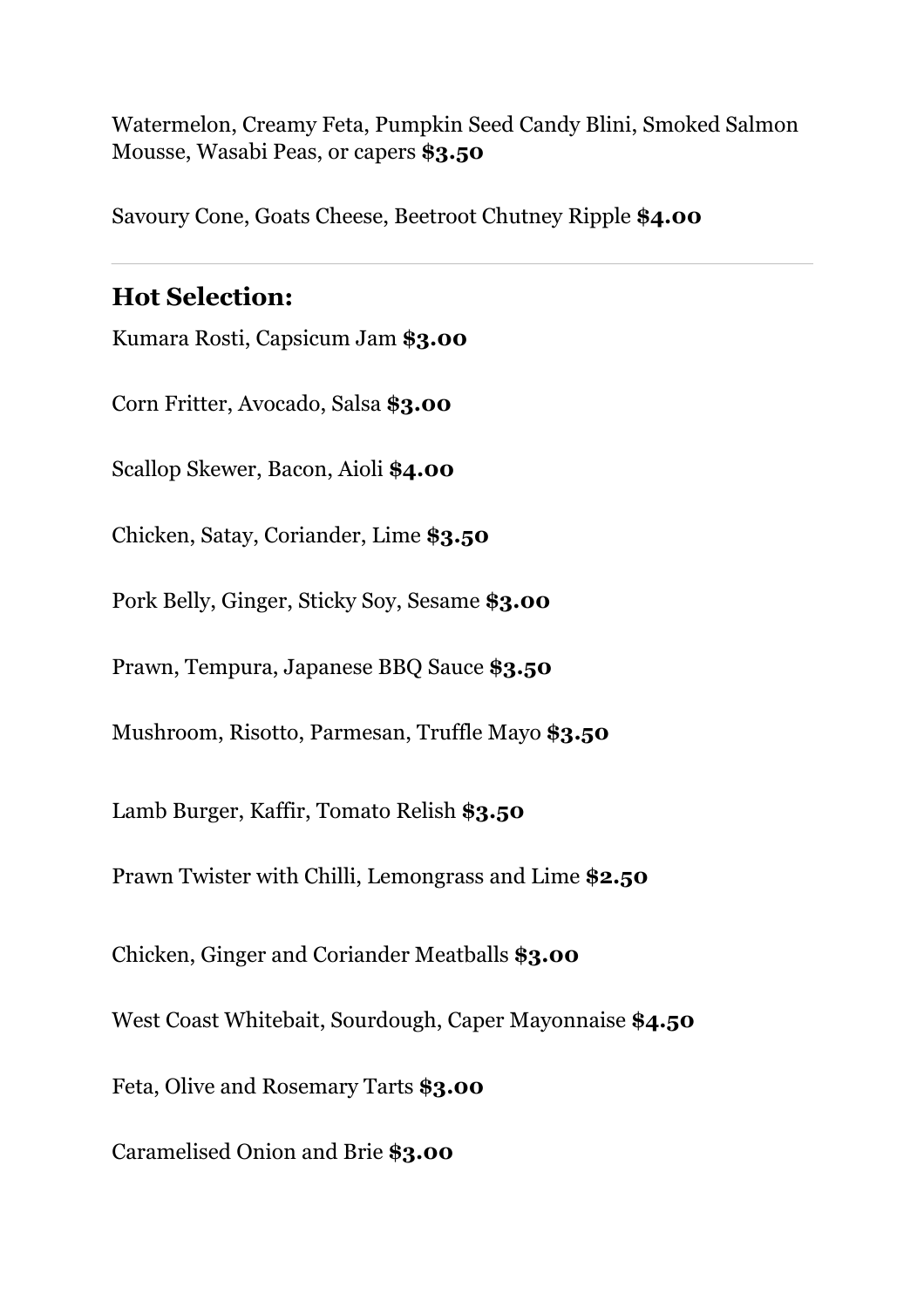Watermelon, Creamy Feta, Pumpkin Seed Candy Blini, Smoked Salmon Mousse, Wasabi Peas, or capers **\$3.50**

Savoury Cone, Goats Cheese, Beetroot Chutney Ripple **\$4.00**

#### **Hot Selection:**

Kumara Rosti, Capsicum Jam **\$3.00**

Corn Fritter, Avocado, Salsa **\$3.00**

Scallop Skewer, Bacon, Aioli **\$4.00**

Chicken, Satay, Coriander, Lime **\$3.50**

Pork Belly, Ginger, Sticky Soy, Sesame **\$3.00**

Prawn, Tempura, Japanese BBQ Sauce **\$3.50**

Mushroom, Risotto, Parmesan, Truffle Mayo **\$3.50**

Lamb Burger, Kaffir, Tomato Relish **\$3.50**

Prawn Twister with Chilli, Lemongrass and Lime **\$2.50**

Chicken, Ginger and Coriander Meatballs **\$3.00**

West Coast Whitebait, Sourdough, Caper Mayonnaise **\$4.50**

Feta, Olive and Rosemary Tarts **\$3.00**

Caramelised Onion and Brie **\$3.00**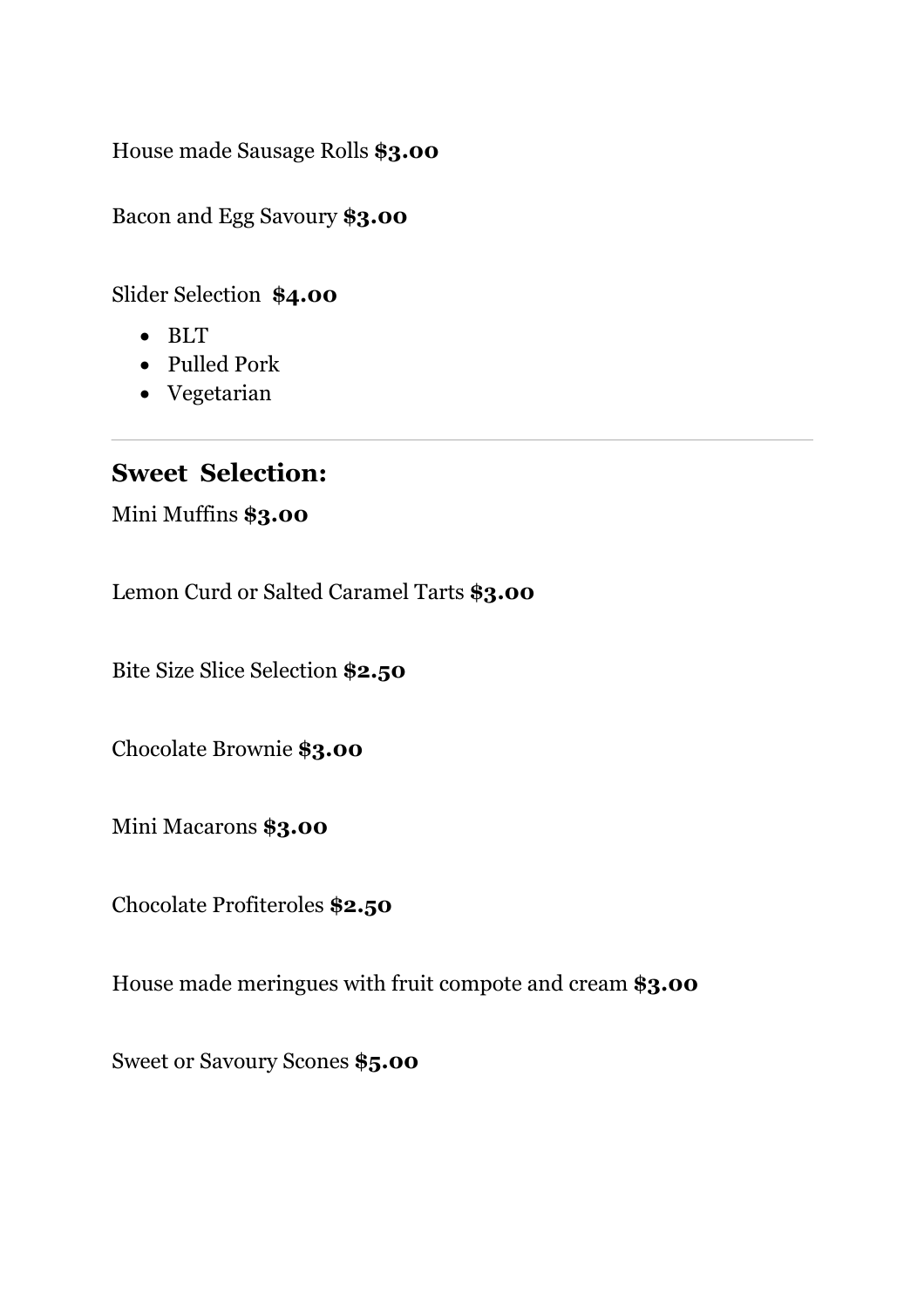House made Sausage Rolls **\$3.00**

Bacon and Egg Savoury **\$3.00**

Slider Selection **\$4.00**

- BLT
- Pulled Pork
- Vegetarian

#### **Sweet Selection:**

Mini Muffins **\$3.00**

Lemon Curd or Salted Caramel Tarts **\$3.00**

Bite Size Slice Selection **\$2.50**

Chocolate Brownie **\$3.00**

Mini Macarons **\$3.00**

Chocolate Profiteroles **\$2.50**

House made meringues with fruit compote and cream **\$3.00**

Sweet or Savoury Scones **\$5.00**